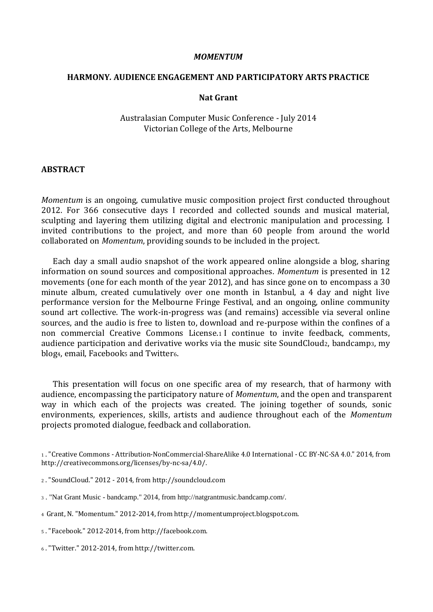#### *MOMENTUM*

## **HARMONY***.* **AUDIENCE ENGAGEMENT AND PARTICIPATORY ARTS PRACTICE**

## **Nat Grant**

Australasian Computer Music Conference - July 2014 Victorian College of the Arts, Melbourne

#### **ABSTRACT**

*Momentum* is an ongoing, cumulative music composition project first conducted throughout 2012. For 366 consecutive days I recorded and collected sounds and musical material, sculpting and layering them utilizing digital and electronic manipulation and processing. I invited contributions to the project, and more than 60 people from around the world collaborated on *Momentum*, providing sounds to be included in the project.

 Each day a small audio snapshot of the work appeared online alongside a blog, sharing information on sound sources and compositional approaches. *Momentum* is presented in 12 movements (one for each month of the year 2012), and has since gone on to encompass a 30 minute album, created cumulatively over one month in Istanbul, a 4 day and night live performance version for the Melbourne Fringe Festival, and an ongoing, online community sound art collective. The work-in-progress was (and remains) accessible via several online sources, and the audio is free to listen to, download and re-purpose within the confines of a non commercial Creative Commons License.<sup>1</sup> I continue to invite feedback, comments, audience participation and derivative works via the music site SoundCloud2, bandcamp3, my blog<sub>4</sub>, email, Facebook<sub>5</sub> and Twitter<sub>6</sub>.

 This presentation will focus on one specific area of my research, that of harmony with audience, encompassing the participatory nature of *Momentum*, and the open and transparent way in which each of the projects was created. The joining together of sounds, sonic environments, experiences, skills, artists and audience throughout each of the *Momentum* projects promoted dialogue, feedback and collaboration.

- <sup>3</sup> . "Nat Grant Music bandcamp." 2014, from http://natgrantmusic.bandcamp.com/.
- <sup>4</sup> Grant, N. "Momentum." 2012-2014, from http://momentumproject.blogspot.com.
- <sup>5</sup> . "Facebook." 2012-2014, from http://facebook.com.
- <sup>6</sup> . "Twitter." 2012-2014, from http://twitter.com.

<sup>1</sup> . "Creative Commons - Attribution-NonCommercial-ShareAlike 4.0 International - CC BY-NC-SA 4.0." 2014, from http://creativecommons.org/licenses/by-nc-sa/4.0/.

<sup>2</sup> . "SoundCloud." 2012 - 2014, from http://soundcloud.com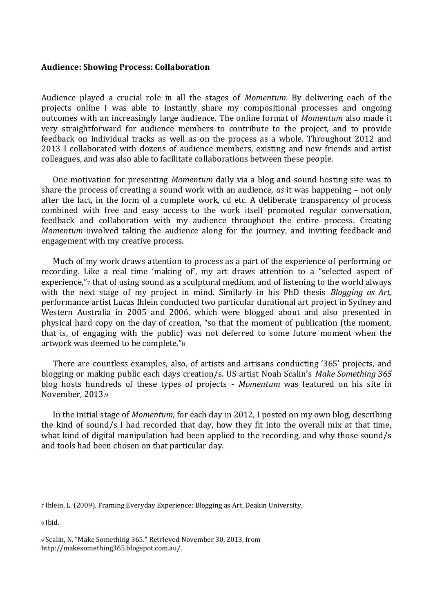## **Audience: Showing Process: Collaboration**

Audience played a crucial role in all the stages of *Momentum*. By delivering each of the projects online I was able to instantly share my compositional processes and ongoing outcomes with an increasingly large audience. The online format of *Momentum* also made it very straightforward for audience members to contribute to the project, and to provide feedback on individual tracks as well as on the process as a whole. Throughout 2012 and 2013 I collaborated with dozens of audience members, existing and new friends and artist colleagues, and was also able to facilitate collaborations between these people.

 One motivation for presenting *Momentum* daily via a blog and sound hosting site was to share the process of creating a sound work with an audience, *as* it was happening – not only after the fact, in the form of a complete work, cd etc. A deliberate transparency of process combined with free and easy access to the work itself promoted regular conversation, feedback and collaboration with my audience throughout the entire process. Creating *Momentum* involved taking the audience along for the journey, and inviting feedback and engagement with my creative process.

 Much of my work draws attention to process as a part of the experience of performing or recording. Like a real time 'making of', my art draws attention to a "selected aspect of experience,"7 that of using sound as a sculptural medium, and of listening to the world always with the next stage of my project in mind. Similarly in his PhD thesis *Blogging as Art*, performance artist Lucas Ihlein conducted two particular durational art project in Sydney and Western Australia in 2005 and 2006, which were blogged about and also presented in physical hard copy on the day of creation, "so that the moment of publication (the moment, that is, of engaging with the public) was not deferred to some future moment when the artwork was deemed to be complete."<sup>8</sup>

 There are countless examples, also, of artists and artisans conducting '365' projects, and blogging or making public each days creation/s. US artist Noah Scalin's *Make Something 365* blog hosts hundreds of these types of projects - *Momentum* was featured on his site in November, 2013.<sup>9</sup>

 In the initial stage of *Momentum*, for each day in 2012, I posted on my own blog, describing the kind of sound/s I had recorded that day, how they fit into the overall mix at that time, what kind of digital manipulation had been applied to the recording, and why those sound/s and tools had been chosen on that particular day.

<sup>8</sup> Ibid.

<sup>7</sup> Ihlein, L. (2009). Framing Everyday Experience: Blogging as Art, Deakin University.

<sup>9</sup> Scalin, N. "Make Something 365." Retrieved November 30, 2013, from http://makesomething365.blogspot.com.au/.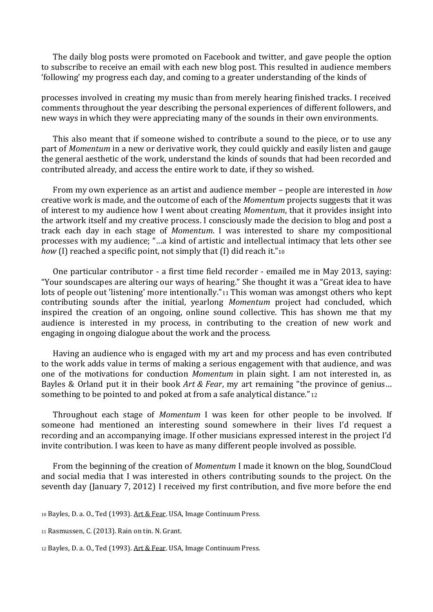The daily blog posts were promoted on Facebook and twitter, and gave people the option to subscribe to receive an email with each new blog post. This resulted in audience members 'following' my progress each day, and coming to a greater understanding of the kinds of

processes involved in creating my music than from merely hearing finished tracks. I received comments throughout the year describing the personal experiences of different followers, and new ways in which they were appreciating many of the sounds in their own environments.

 This also meant that if someone wished to contribute a sound to the piece, or to use any part of *Momentum* in a new or derivative work, they could quickly and easily listen and gauge the general aesthetic of the work, understand the kinds of sounds that had been recorded and contributed already, and access the entire work to date, if they so wished.

 From my own experience as an artist and audience member – people are interested in *how* creative work is made, and the outcome of each of the *Momentum* projects suggests that it was of interest to my audience how I went about creating *Momentum*, that it provides insight into the artwork itself and my creative process. I consciously made the decision to blog and post a track each day in each stage of *Momentum*. I was interested to share my compositional processes with my audience; "…a kind of artistic and intellectual intimacy that lets other see *how* (I) reached a specific point, not simply that (I) did reach it."10

 One particular contributor - a first time field recorder - emailed me in May 2013, saying: "Your soundscapes are altering our ways of hearing." She thought it was a "Great idea to have lots of people out 'listening' more intentionally."<sup>11</sup> This woman was amongst others who kept contributing sounds after the initial, yearlong *Momentum* project had concluded, which inspired the creation of an ongoing, online sound collective. This has shown me that my audience is interested in my process, in contributing to the creation of new work and engaging in ongoing dialogue about the work and the process.

 Having an audience who is engaged with my art and my process and has even contributed to the work adds value in terms of making a serious engagement with that audience, and was one of the motivations for conduction *Momentum* in plain sight. I am not interested in, as Bayles & Orland put it in their book *Art & Fear*, my art remaining "the province of genius… something to be pointed to and poked at from a safe analytical distance."12

 Throughout each stage of *Momentum* I was keen for other people to be involved. If someone had mentioned an interesting sound somewhere in their lives I'd request a recording and an accompanying image. If other musicians expressed interest in the project I'd invite contribution. I was keen to have as many different people involved as possible.

 From the beginning of the creation of *Momentum* I made it known on the blog, SoundCloud and social media that I was interested in others contributing sounds to the project. On the seventh day (January 7, 2012) I received my first contribution, and five more before the end

<sup>10</sup> Bayles, D. a. O., Ted (1993). Art & Fear. USA, Image Continuum Press.

<sup>11</sup> Rasmussen, C. (2013). Rain on tin. N. Grant.

<sup>12</sup> Bayles, D. a. O., Ted (1993). Art & Fear. USA, Image Continuum Press.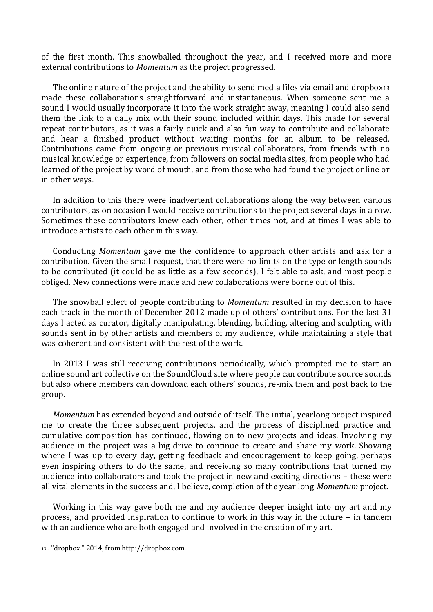of the first month. This snowballed throughout the year, and I received more and more external contributions to *Momentum* as the project progressed.

 The online nature of the project and the ability to send media files via email and dropbox<sup>13</sup> made these collaborations straightforward and instantaneous. When someone sent me a sound I would usually incorporate it into the work straight away, meaning I could also send them the link to a daily mix with their sound included within days. This made for several repeat contributors, as it was a fairly quick and also fun way to contribute and collaborate and hear a finished product without waiting months for an album to be released. Contributions came from ongoing or previous musical collaborators, from friends with no musical knowledge or experience, from followers on social media sites, from people who had learned of the project by word of mouth, and from those who had found the project online or in other ways.

 In addition to this there were inadvertent collaborations along the way between various contributors, as on occasion I would receive contributions to the project several days in a row. Sometimes these contributors knew each other, other times not, and at times I was able to introduce artists to each other in this way.

 Conducting *Momentum* gave me the confidence to approach other artists and ask for a contribution. Given the small request, that there were no limits on the type or length sounds to be contributed (it could be as little as a few seconds), I felt able to ask, and most people obliged. New connections were made and new collaborations were borne out of this.

 The snowball effect of people contributing to *Momentum* resulted in my decision to have each track in the month of December 2012 made up of others' contributions. For the last 31 days I acted as curator, digitally manipulating, blending, building, altering and sculpting with sounds sent in by other artists and members of my audience, while maintaining a style that was coherent and consistent with the rest of the work.

 In 2013 I was still receiving contributions periodically, which prompted me to start an online sound art collective on the [SoundCloud](http://soundcloud.com/groups/momentum-collective) site where people can contribute source sounds but also where members can download each others' sounds, re-mix them and post back to the group.

 *Momentum* has extended beyond and outside of itself. The initial, yearlong project inspired me to create the three subsequent projects, and the process of disciplined practice and cumulative composition has continued, flowing on to new projects and ideas. Involving my audience in the project was a big drive to continue to create and share my work. Showing where I was up to every day, getting feedback and encouragement to keep going, perhaps even inspiring others to do the same, and receiving so many contributions that turned my audience into collaborators and took the project in new and exciting directions – these were all vital elements in the success and, I believe, completion of the year long *Momentum* project.

 Working in this way gave both me and my audience deeper insight into my art and my process, and provided inspiration to continue to work in this way in the future – in tandem with an audience who are both engaged and involved in the creation of my art.

<sup>13</sup> . "dropbox." 2014, from http://dropbox.com.